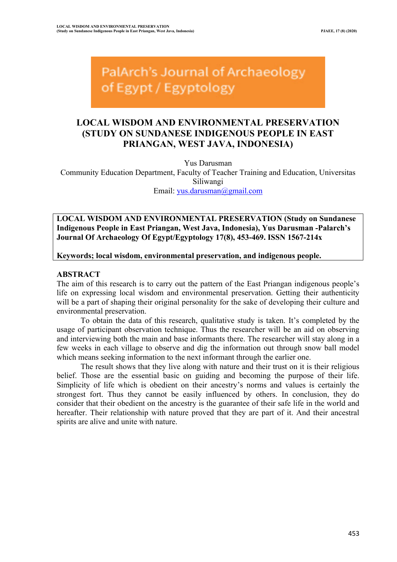PalArch's Journal of Archaeology of Egypt / Egyptology

# **LOCAL WISDOM AND ENVIRONMENTAL PRESERVATION (STUDY ON SUNDANESE INDIGENOUS PEOPLE IN EAST PRIANGAN, WEST JAVA, INDONESIA)**

Yus Darusman

Community Education Department, Faculty of Teacher Training and Education, Universitas Siliwangi Email: yus.darusman@gmail.com

**LOCAL WISDOM AND ENVIRONMENTAL PRESERVATION (Study on Sundanese Indigenous People in East Priangan, West Java, Indonesia), Yus Darusman -Palarch's Journal Of Archaeology Of Egypt/Egyptology 17(8), 453-469. ISSN 1567-214x**

**Keywords; local wisdom, environmental preservation, and indigenous people.**

# **ABSTRACT**

The aim of this research is to carry out the pattern of the East Priangan indigenous people's life on expressing local wisdom and environmental preservation. Getting their authenticity will be a part of shaping their original personality for the sake of developing their culture and environmental preservation.

To obtain the data of this research, qualitative study is taken. It's completed by the usage of participant observation technique. Thus the researcher will be an aid on observing and interviewing both the main and base informants there. The researcher will stay along in a few weeks in each village to observe and dig the information out through snow ball model which means seeking information to the next informant through the earlier one.

The result shows that they live along with nature and their trust on it is their religious belief. Those are the essential basic on guiding and becoming the purpose of their life. Simplicity of life which is obedient on their ancestry's norms and values is certainly the strongest fort. Thus they cannot be easily influenced by others. In conclusion, they do consider that their obedient on the ancestry is the guarantee of their safe life in the world and hereafter. Their relationship with nature proved that they are part of it. And their ancestral spirits are alive and unite with nature.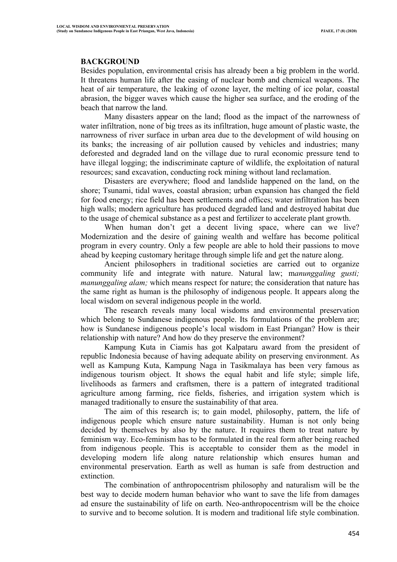# **BACKGROUND**

Besides population, environmental crisis has already been a big problem in the world. It threatens human life after the easing of nuclear bomb and chemical weapons. The heat of air temperature, the leaking of ozone layer, the melting of ice polar, coastal abrasion, the bigger waves which cause the higher sea surface, and the eroding of the beach that narrow the land.

Many disasters appear on the land; flood as the impact of the narrowness of water infiltration, none of big trees as its infiltration, huge amount of plastic waste, the narrowness of river surface in urban area due to the development of wild housing on its banks; the increasing of air pollution caused by vehicles and industries; many deforested and degraded land on the village due to rural economic pressure tend to have illegal logging; the indiscriminate capture of wildlife, the exploitation of natural resources; sand excavation, conducting rock mining without land reclamation.

Disasters are everywhere; flood and landslide happened on the land, on the shore; Tsunami, tidal waves, coastal abrasion; urban expansion has changed the field for food energy; rice field has been settlements and offices; water infiltration has been high walls; modern agriculture has produced degraded land and destroyed habitat due to the usage of chemical substance as a pest and fertilizer to accelerate plant growth.

When human don't get a decent living space, where can we live? Modernization and the desire of gaining wealth and welfare has become political program in every country. Only a few people are able to hold their passions to move ahead by keeping customary heritage through simple life and get the nature along.

Ancient philosophers in traditional societies are carried out to organize community life and integrate with nature. Natural law; m*anunggaling gusti; manunggaling alam;* which means respect for nature; the consideration that nature has the same right as human is the philosophy of indigenous people. It appears along the local wisdom on several indigenous people in the world.

The research reveals many local wisdoms and environmental preservation which belong to Sundanese indigenous people. Its formulations of the problem are; how is Sundanese indigenous people's local wisdom in East Priangan? How is their relationship with nature? And how do they preserve the environment?

Kampung Kuta in Ciamis has got Kalpataru award from the president of republic Indonesia because of having adequate ability on preserving environment. As well as Kampung Kuta, Kampung Naga in Tasikmalaya has been very famous as indigenous tourism object. It shows the equal habit and life style; simple life, livelihoods as farmers and craftsmen, there is a pattern of integrated traditional agriculture among farming, rice fields, fisheries, and irrigation system which is managed traditionally to ensure the sustainability of that area.

The aim of this research is; to gain model, philosophy, pattern, the life of indigenous people which ensure nature sustainability. Human is not only being decided by themselves by also by the nature. It requires them to treat nature by feminism way. Eco-feminism has to be formulated in the real form after being reached from indigenous people. This is acceptable to consider them as the model in developing modern life along nature relationship which ensures human and environmental preservation. Earth as well as human is safe from destruction and extinction.

The combination of anthropocentrism philosophy and naturalism will be the best way to decide modern human behavior who want to save the life from damages ad ensure the sustainability of life on earth. Neo-anthropocentrism will be the choice to survive and to become solution. It is modern and traditional life style combination.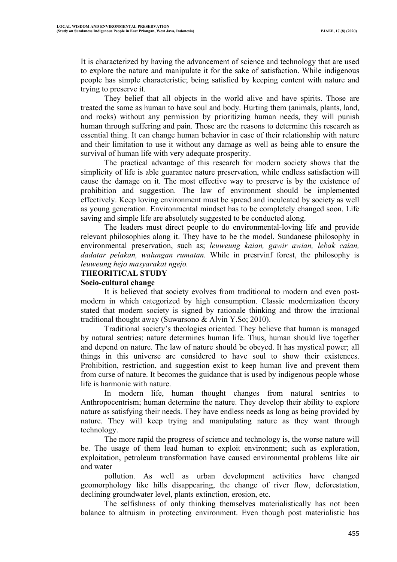It is characterized by having the advancement of science and technology that are used to explore the nature and manipulate it for the sake of satisfaction. While indigenous people has simple characteristic; being satisfied by keeping content with nature and trying to preserve it.

They belief that all objects in the world alive and have spirits. Those are treated the same as human to have soul and body. Hurting them (animals, plants, land, and rocks) without any permission by prioritizing human needs, they will punish human through suffering and pain. Those are the reasons to determine this research as essential thing. It can change human behavior in case of their relationship with nature and their limitation to use it without any damage as well as being able to ensure the survival of human life with very adequate prosperity.

The practical advantage of this research for modern society shows that the simplicity of life is able guarantee nature preservation, while endless satisfaction will cause the damage on it. The most effective way to preserve is by the existence of prohibition and suggestion. The law of environment should be implemented effectively. Keep loving environment must be spread and inculcated by society as well as young generation. Environmental mindset has to be completely changed soon. Life saving and simple life are absolutely suggested to be conducted along.

The leaders must direct people to do environmental-loving life and provide relevant philosophies along it. They have to be the model. Sundanese philosophy in environmental preservation, such as; *leuweung kaian, gawir awian, lebak caian, dadatar pelakan, walungan rumatan.* While in presrvinf forest, the philosophy is *leuweung hejo masyarakat ngejo.*

#### **THEORITICAL STUDY**

#### **Socio-cultural change**

It is believed that society evolves from traditional to modern and even postmodern in which categorized by high consumption. Classic modernization theory stated that modern society is signed by rationale thinking and throw the irrational traditional thought away (Suwarsono & Alvin Y.So; 2010).

Traditional society's theologies oriented. They believe that human is managed by natural sentries; nature determines human life. Thus, human should live together and depend on nature. The law of nature should be obeyed. It has mystical power; all things in this universe are considered to have soul to show their existences. Prohibition, restriction, and suggestion exist to keep human live and prevent them from curse of nature. It becomes the guidance that is used by indigenous people whose life is harmonic with nature.

In modern life, human thought changes from natural sentries to Anthropocentrism; human determine the nature. They develop their ability to explore nature as satisfying their needs. They have endless needs as long as being provided by nature. They will keep trying and manipulating nature as they want through technology.

The more rapid the progress of science and technology is, the worse nature will be. The usage of them lead human to exploit environment; such as exploration, exploitation, petroleum transformation have caused environmental problems like air and water

pollution. As well as urban development activities have changed geomorphology like hills disappearing, the change of river flow, deforestation, declining groundwater level, plants extinction, erosion, etc.

The selfishness of only thinking themselves materialistically has not been balance to altruism in protecting environment. Even though post materialistic has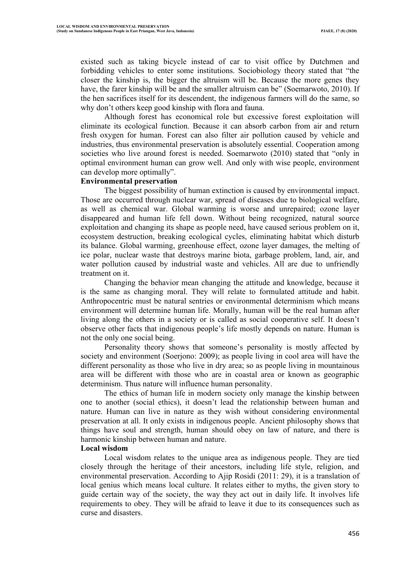existed such as taking bicycle instead of car to visit office by Dutchmen and forbidding vehicles to enter some institutions. Sociobiology theory stated that "the closer the kinship is, the bigger the altruism will be. Because the more genes they have, the farer kinship will be and the smaller altruism can be" (Soemarwoto, 2010). If the hen sacrifices itself for its descendent, the indigenous farmers will do the same, so why don't others keep good kinship with flora and fauna.

Although forest has economical role but excessive forest exploitation will eliminate its ecological function. Because it can absorb carbon from air and return fresh oxygen for human. Forest can also filter air pollution caused by vehicle and industries, thus environmental preservation is absolutely essential. Cooperation among societies who live around forest is needed. Soemarwoto (2010) stated that "only in optimal environment human can grow well. And only with wise people, environment can develop more optimally".

## **Environmental preservation**

The biggest possibility of human extinction is caused by environmental impact. Those are occurred through nuclear war, spread of diseases due to biological welfare, as well as chemical war. Global warming is worse and unrepaired; ozone layer disappeared and human life fell down. Without being recognized, natural source exploitation and changing its shape as people need, have caused serious problem on it, ecosystem destruction, breaking ecological cycles, eliminating habitat which disturb its balance. Global warming, greenhouse effect, ozone layer damages, the melting of ice polar, nuclear waste that destroys marine biota, garbage problem, land, air, and water pollution caused by industrial waste and vehicles. All are due to unfriendly treatment on it.

Changing the behavior mean changing the attitude and knowledge, because it is the same as changing moral. They will relate to formulated attitude and habit. Anthropocentric must be natural sentries or environmental determinism which means environment will determine human life. Morally, human will be the real human after living along the others in a society or is called as social cooperative self. It doesn't observe other facts that indigenous people's life mostly depends on nature. Human is not the only one social being.

Personality theory shows that someone's personality is mostly affected by society and environment (Soerjono: 2009); as people living in cool area will have the different personality as those who live in dry area; so as people living in mountainous area will be different with those who are in coastal area or known as geographic determinism. Thus nature will influence human personality.

The ethics of human life in modern society only manage the kinship between one to another (social ethics), it doesn't lead the relationship between human and nature. Human can live in nature as they wish without considering environmental preservation at all. It only exists in indigenous people. Ancient philosophy shows that things have soul and strength, human should obey on law of nature, and there is harmonic kinship between human and nature.

#### **Local wisdom**

Local wisdom relates to the unique area as indigenous people. They are tied closely through the heritage of their ancestors, including life style, religion, and environmental preservation. According to Ajip Rosidi (2011: 29), it is a translation of local genius which means local culture. It relates either to myths, the given story to guide certain way of the society, the way they act out in daily life. It involves life requirements to obey. They will be afraid to leave it due to its consequences such as curse and disasters.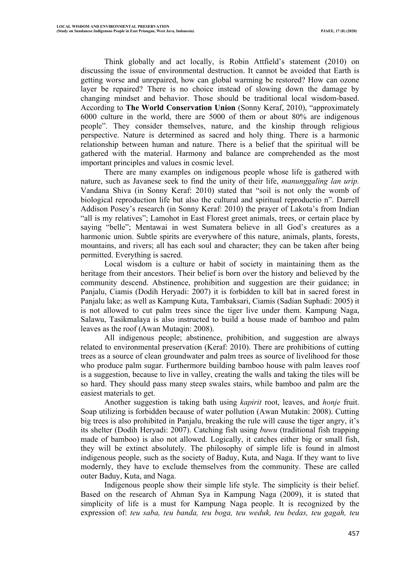Think globally and act locally, is Robin Attfield's statement (2010) on discussing the issue of environmental destruction. It cannot be avoided that Earth is getting worse and unrepaired, how can global warming be restored? How can ozone layer be repaired? There is no choice instead of slowing down the damage by changing mindset and behavior. Those should be traditional local wisdom-based. According to **The World Conservation Union** (Sonny Keraf, 2010), "approximately 6000 culture in the world, there are 5000 of them or about 80% are indigenous people". They consider themselves, nature, and the kinship through religious perspective. Nature is determined as sacred and holy thing. There is a harmonic relationship between human and nature. There is a belief that the spiritual will be gathered with the material. Harmony and balance are comprehended as the most important principles and values in cosmic level.

There are many examples on indigenous people whose life is gathered with nature, such as Javanese seek to find the unity of their life, *manunggaling lan urip.* Vandana Shiva (in Sonny Keraf: 2010) stated that "soil is not only the womb of biological reproduction life but also the cultural and spiritual reproductio n". Darrell Addison Posey's research (in Sonny Keraf: 2010) the prayer of Lakota's from Indian "all is my relatives"; Lamohot in East Florest greet animals, trees, or certain place by saying "belle"; Mentawai in west Sumatera believe in all God's creatures as a harmonic union. Subtle spirits are everywhere of this nature, animals, plants, forests, mountains, and rivers; all has each soul and character; they can be taken after being permitted. Everything is sacred.

Local wisdom is a culture or habit of society in maintaining them as the heritage from their ancestors. Their belief is born over the history and believed by the community descend. Abstinence, prohibition and suggestion are their guidance; in Panjalu, Ciamis (Dodih Heryadi: 2007) it is forbidden to kill bat in sacred forest in Panjalu lake; as well as Kampung Kuta, Tambaksari, Ciamis (Sadian Suphadi: 2005) it is not allowed to cut palm trees since the tiger live under them. Kampung Naga, Salawu, Tasikmalaya is also instructed to build a house made of bamboo and palm leaves as the roof (Awan Mutaqin: 2008).

All indigenous people; abstinence, prohibition, and suggestion are always related to environmental preservation (Keraf: 2010). There are prohibitions of cutting trees as a source of clean groundwater and palm trees as source of livelihood for those who produce palm sugar. Furthermore building bamboo house with palm leaves roof is a suggestion, because to live in valley, creating the walls and taking the tiles will be so hard. They should pass many steep swales stairs, while bamboo and palm are the easiest materials to get.

Another suggestion is taking bath using *kapirit* root, leaves, and *honje* fruit. Soap utilizing is forbidden because of water pollution (Awan Mutakin: 2008). Cutting big trees is also prohibited in Panjalu, breaking the rule will cause the tiger angry, it's its shelter (Dodih Heryadi: 2007). Catching fish using *buwu* (traditional fish trapping made of bamboo) is also not allowed. Logically, it catches either big or small fish, they will be extinct absolutely. The philosophy of simple life is found in almost indigenous people, such as the society of Baduy, Kuta, and Naga. If they want to live modernly, they have to exclude themselves from the community. These are called outer Baduy, Kuta, and Naga.

Indigenous people show their simple life style. The simplicity is their belief. Based on the research of Ahman Sya in Kampung Naga (2009), it is stated that simplicity of life is a must for Kampung Naga people. It is recognized by the expression of: *teu saba, teu banda, teu boga, teu weduk, teu bedas, teu gagah, teu*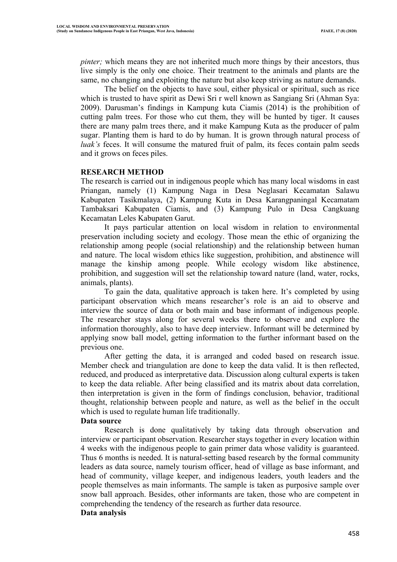*pinter;* which means they are not inherited much more things by their ancestors, thus live simply is the only one choice. Their treatment to the animals and plants are the same, no changing and exploiting the nature but also keep striving as nature demands.

The belief on the objects to have soul, either physical or spiritual, such as rice which is trusted to have spirit as Dewi Sri r well known as Sangiang Sri (Ahman Sya: 2009). Darusman's findings in Kampung kuta Ciamis (2014) is the prohibition of cutting palm trees. For those who cut them, they will be hunted by tiger. It causes there are many palm trees there, and it make Kampung Kuta as the producer of palm sugar. Planting them is hard to do by human. It is grown through natural process of *luak's* feces. It will consume the matured fruit of palm, its feces contain palm seeds and it grows on feces piles.

# **RESEARCH METHOD**

The research is carried out in indigenous people which has many local wisdoms in east Priangan, namely (1) Kampung Naga in Desa Neglasari Kecamatan Salawu Kabupaten Tasikmalaya, (2) Kampung Kuta in Desa Karangpaningal Kecamatam Tambaksari Kabupaten Ciamis, and (3) Kampung Pulo in Desa Cangkuang Kecamatan Leles Kabupaten Garut.

It pays particular attention on local wisdom in relation to environmental preservation including society and ecology. Those mean the ethic of organizing the relationship among people (social relationship) and the relationship between human and nature. The local wisdom ethics like suggestion, prohibition, and abstinence will manage the kinship among people. While ecology wisdom like abstinence, prohibition, and suggestion will set the relationship toward nature (land, water, rocks, animals, plants).

To gain the data, qualitative approach is taken here. It's completed by using participant observation which means researcher's role is an aid to observe and interview the source of data or both main and base informant of indigenous people. The researcher stays along for several weeks there to observe and explore the information thoroughly, also to have deep interview. Informant will be determined by applying snow ball model, getting information to the further informant based on the previous one.

After getting the data, it is arranged and coded based on research issue. Member check and triangulation are done to keep the data valid. It is then reflected, reduced, and produced as interpretative data. Discussion along cultural experts is taken to keep the data reliable. After being classified and its matrix about data correlation, then interpretation is given in the form of findings conclusion, behavior, traditional thought, relationship between people and nature, as well as the belief in the occult which is used to regulate human life traditionally.

## **Data source**

Research is done qualitatively by taking data through observation and interview or participant observation. Researcher stays together in every location within 4 weeks with the indigenous people to gain primer data whose validity is guaranteed. Thus 6 months is needed. It is natural-setting based research by the formal community leaders as data source, namely tourism officer, head of village as base informant, and head of community, village keeper, and indigenous leaders, youth leaders and the people themselves as main informants. The sample is taken as purposive sample over snow ball approach. Besides, other informants are taken, those who are competent in comprehending the tendency of the research as further data resource. **Data analysis**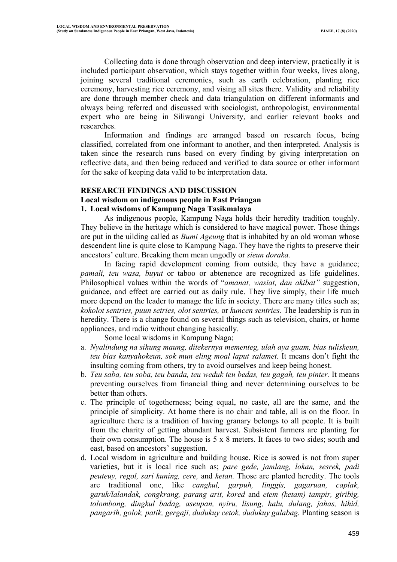Collecting data is done through observation and deep interview, practically it is included participant observation, which stays together within four weeks, lives along, joining several traditional ceremonies, such as earth celebration, planting rice ceremony, harvesting rice ceremony, and vising all sites there. Validity and reliability are done through member check and data triangulation on different informants and always being referred and discussed with sociologist, anthropologist, environmental expert who are being in Siliwangi University, and earlier relevant books and researches.

Information and findings are arranged based on research focus, being classified, correlated from one informant to another, and then interpreted. Analysis is taken since the research runs based on every finding by giving interpretation on reflective data, and then being reduced and verified to data source or other informant for the sake of keeping data valid to be interpretation data.

# **RESEARCH FINDINGS AND DISCUSSION**

# **Local wisdom on indigenous people in East Priangan**

# **1. Local wisdoms of Kampung Naga Tasikmalaya**

As indigenous people, Kampung Naga holds their heredity tradition toughly. They believe in the heritage which is considered to have magical power. Those things are put in the uilding called as *Bumi Ageung* that is inhabited by an old woman whose descendent line is quite close to Kampung Naga. They have the rights to preserve their ancestors' culture. Breaking them mean ungodly or *sieun doraka.*

In facing rapid development coming from outside, they have a guidance; *pamali, teu wasa, buyut* or taboo or abtenence are recognized as life guidelines. Philosophical values within the words of "*amanat, wasiat, dan akibat"* suggestion, guidance, and effect are carried out as daily rule. They live simply, their life much more depend on the leader to manage the life in society. There are many titles such as; *kokolot sentries, puun setries, olot sentries,* or *kuncen sentries.* The leadership is run in heredity. There is a change found on several things such as television, chairs, or home appliances, and radio without changing basically.

Some local wisdoms in Kampung Naga;

- a. *Nyalindung na sihung maung, ditekernya mementeg, ulah aya guam, bias tuliskeun, teu bias kanyahokeun, sok mun eling moal laput salamet.* It means don't fight the insulting coming from others, try to avoid ourselves and keep being honest.
- b. *Teu saba, teu soba, teu banda, teu weduk teu bedas, teu gagah, teu pinter.* It means preventing ourselves from financial thing and never determining ourselves to be better than others.
- c. The principle of togetherness; being equal, no caste, all are the same, and the principle of simplicity. At home there is no chair and table, all is on the floor. In agriculture there is a tradition of having granary belongs to all people. It is built from the charity of getting abundant harvest. Subsistent farmers are planting for their own consumption. The house is 5 x 8 meters. It faces to two sides; south and east, based on ancestors' suggestion.
- d. Local wisdom in agriculture and building house. Rice is sowed is not from super varieties, but it is local rice such as; *pare gede, jamlang, lokan, sesrek, padi peuteuy, regol, sari kuning, cere,* and *ketan.* Those are planted heredity. The tools are traditional one, like *cangkul, garpuh, linggis, gagaruan, caplak, garuk/lalandak, congkrang, parang arit, kored* and *etem (ketam) tampir, giribig, tolombong, dingkul badag, aseupan, nyiru, lisung, halu, dulang, jahas, hihid, pangarih, golok, patik, gergaji, dudukuy cetok, dudukuy galabag.* Planting season is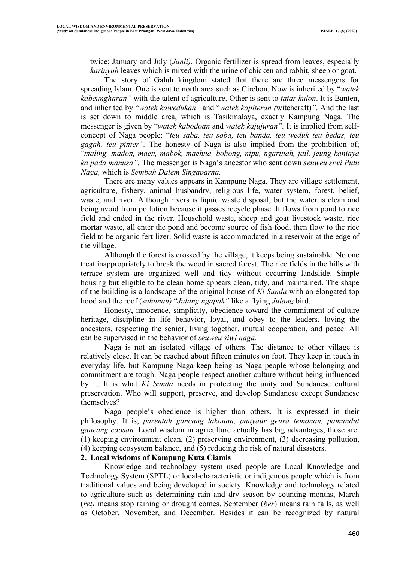twice; January and July (*Janli)*. Organic fertilizer is spread from leaves, especially *karinyuh* leaves which is mixed with the urine of chicken and rabbit, sheep or goat.

The story of Galuh kingdom stated that there are three messengers for spreading Islam. One is sent to north area such as Cirebon. Now is inherited by "*watek kabeungharan"* with the talent of agriculture. Other is sent to *tatar kulon*. It is Banten, and inherited by "*watek kawedukan"* and "*watek kapiteran (*witchcraft)*"*. And the last is set down to middle area, which is Tasikmalaya, exactly Kampung Naga. The messenger is given by "*watek kabodoan* and *watek kajujuran".* It is implied from selfconcept of Naga people: "*teu saba, teu soba, teu banda, teu weduk teu bedas, teu gagah, teu pinter".* The honesty of Naga is also implied from the prohibition of; "*maling, madon, maen, mabok, maehna, bohong, nipu, ngarinah, jail, jeung kaniaya ka pada manusa".* The messenger is Naga's ancestor who sent down *seuweu siwi Putu Naga,* which is *Sembah Dalem Singaparna.*

There are many values appears in Kampung Naga. They are village settlement, agriculture, fishery, animal husbandry, religious life, water system, forest, belief, waste, and river. Although rivers is liquid waste disposal, but the water is clean and being avoid from pollution because it passes recycle phase. It flows from pond to rice field and ended in the river. Household waste, sheep and goat livestock waste, rice mortar waste, all enter the pond and become source of fish food, then flow to the rice field to be organic fertilizer. Solid waste is accommodated in a reservoir at the edge of the village.

Although the forest is crossed by the village, it keeps being sustainable. No one treat inappropriately to break the wood in sacred forest. The rice fields in the hills with terrace system are organized well and tidy without occurring landslide. Simple housing but eligible to be clean home appears clean, tidy, and maintained. The shape of the building is a landscape of the original house of *Ki Sunda* with an elongated top hood and the roof (*suhunan)* "*Julang ngapak"* like a flying *Julang* bird.

Honesty, innocence, simplicity, obedience toward the commitment of culture heritage, discipline in life behavior, loyal, and obey to the leaders, loving the ancestors, respecting the senior, living together, mutual cooperation, and peace. All can be supervised in the behavior of *seuweu siwi naga.*

Naga is not an isolated village of others. The distance to other village is relatively close. It can be reached about fifteen minutes on foot. They keep in touch in everyday life, but Kampung Naga keep being as Naga people whose belonging and commitment are tough. Naga people respect another culture without being influenced by it. It is what *Ki Sunda* needs in protecting the unity and Sundanese cultural preservation. Who will support, preserve, and develop Sundanese except Sundanese themselves?

Naga people's obedience is higher than others. It is expressed in their philosophy. It is; *parentah gancang lakonan, panyaur geura temonan, pamundut gancang caosan.* Local wisdom in agriculture actually has big advantages, those are: (1) keeping environment clean, (2) preserving environment, (3) decreasing pollution, (4) keeping ecosystem balance, and (5) reducing the risk of natural disasters.

#### **2. Local wisdoms of Kampung Kuta Ciamis**

Knowledge and technology system used people are Local Knowledge and Technology System (SPTL) or local-characteristic or indigenous people which is from traditional values and being developed in society. Knowledge and technology related to agriculture such as determining rain and dry season by counting months, March (*ret)* means stop raining or drought comes. September (*ber*) means rain falls, as well as October, November, and December. Besides it can be recognized by natural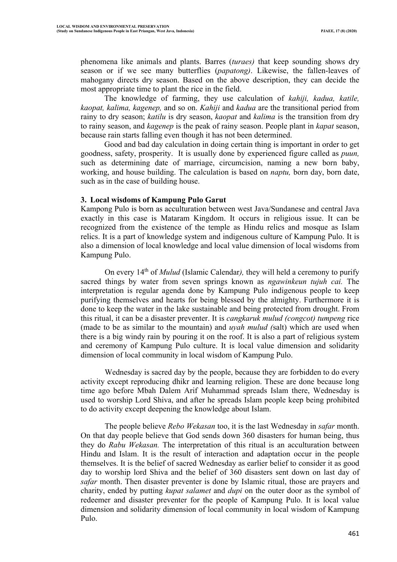phenomena like animals and plants. Barres (*turaes)* that keep sounding shows dry season or if we see many butterflies (*papatong)*. Likewise, the fallen-leaves of mahogany directs dry season. Based on the above description, they can decide the most appropriate time to plant the rice in the field.

The knowledge of farming, they use calculation of *kahiji, kadua, katile, kaopat, kalima, kagenep,* and so on. *Kahiji* and *kadua* are the transitional period from rainy to dry season; *katilu* is dry season, *kaopat* and *kalima* is the transition from dry to rainy season, and *kagenep* is the peak of rainy season. People plant in *kapat* season, because rain starts falling even though it has not been determined.

Good and bad day calculation in doing certain thing is important in order to get goodness, safety, prosperity. It is usually done by experienced figure called as *puun,*  such as determining date of marriage, circumcision, naming a new born baby, working, and house building. The calculation is based on *naptu,* born day, born date, such as in the case of building house.

## **3. Local wisdoms of Kampung Pulo Garut**

Kampong Pulo is born as acculturation between west Java/Sundanese and central Java exactly in this case is Mataram Kingdom. It occurs in religious issue. It can be recognized from the existence of the temple as Hindu relics and mosque as Islam relics. It is a part of knowledge system and indigenous culture of Kampung Pulo. It is also a dimension of local knowledge and local value dimension of local wisdoms from Kampung Pulo.

On every 14th of *Mulud* (Islamic Calendar*),* they will held a ceremony to purify sacred things by water from seven springs known as *ngawinkeun tujuh cai.* The interpretation is regular agenda done by Kampung Pulo indigenous people to keep purifying themselves and hearts for being blessed by the almighty. Furthermore it is done to keep the water in the lake sustainable and being protected from drought. From this ritual, it can be a disaster preventer. It is *cangkaruk mulud (congcot) tumpeng* rice (made to be as similar to the mountain) and *uyah mulud (*salt) which are used when there is a big windy rain by pouring it on the roof. It is also a part of religious system and ceremony of Kampung Pulo culture. It is local value dimension and solidarity dimension of local community in local wisdom of Kampung Pulo.

Wednesday is sacred day by the people, because they are forbidden to do every activity except reproducing dhikr and learning religion. These are done because long time ago before Mbah Dalem Arif Muhammad spreads Islam there, Wednesday is used to worship Lord Shiva, and after he spreads Islam people keep being prohibited to do activity except deepening the knowledge about Islam.

The people believe *Rebo Wekasan* too, it is the last Wednesday in *safar* month. On that day people believe that God sends down 360 disasters for human being, thus they do *Rabu Wekasan.* The interpretation of this ritual is an acculturation between Hindu and Islam. It is the result of interaction and adaptation occur in the people themselves. It is the belief of sacred Wednesday as earlier belief to consider it as good day to worship lord Shiva and the belief of 360 disasters sent down on last day of *safar* month. Then disaster preventer is done by Islamic ritual, those are prayers and charity, ended by putting *kupat salamet* and *dupi* on the outer door as the symbol of redeemer and disaster preventer for the people of Kampung Pulo. It is local value dimension and solidarity dimension of local community in local wisdom of Kampung Pulo.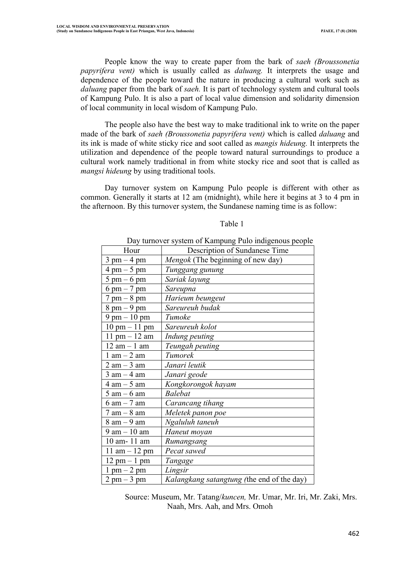People know the way to create paper from the bark of *saeh (Broussonetia papyrifera vent)* which is usually called as *daluang.* It interprets the usage and dependence of the people toward the nature in producing a cultural work such as *daluang* paper from the bark of *saeh.* It is part of technology system and cultural tools of Kampung Pulo. It is also a part of local value dimension and solidarity dimension of local community in local wisdom of Kampung Pulo.

The people also have the best way to make traditional ink to write on the paper made of the bark of *saeh (Broussonetia papyrifera vent)* which is called *daluang* and its ink is made of white sticky rice and soot called as *mangis hideung.* It interprets the utilization and dependence of the people toward natural surroundings to produce a cultural work namely traditional in from white stocky rice and soot that is called as *mangsi hideung* by using traditional tools.

Day turnover system on Kampung Pulo people is different with other as common. Generally it starts at 12 am (midnight), while here it begins at 3 to 4 pm in the afternoon. By this turnover system, the Sundanese naming time is as follow:

#### Table 1

#### Day turnover system of Kampung Pulo indigenous people

| Hour                            | Description of Sundanese Time              |
|---------------------------------|--------------------------------------------|
| $3 \text{ pm} - 4 \text{ pm}$   | Mengok (The beginning of new day)          |
| $4 \text{ pm} - 5 \text{ pm}$   | Tunggang gunung                            |
| $5 \text{ pm} - 6 \text{ pm}$   | Sariak layung                              |
| $6 \text{ pm} - 7 \text{ pm}$   | Sareupna                                   |
| $7 \text{ pm} - 8 \text{ pm}$   | Harieum beungeut                           |
| $8$ pm $-9$ pm                  | Sareureuh budak                            |
| $9$ pm $-10$ pm                 | Tumoke                                     |
| $10 \text{ pm} - 11 \text{ pm}$ | Sareureuh kolot                            |
| $11 \text{ pm} - 12 \text{ am}$ | Indung peuting                             |
| $12$ am $-1$ am                 | Teungah peuting                            |
| $1$ am $-$ 2 am                 | Tumorek                                    |
| $2 \text{ am} - 3 \text{ am}$   | Janari leutik                              |
| $3$ am $-$ 4 am                 | Janari geode                               |
| $4 \text{ am} - 5 \text{ am}$   | Kongkorongok hayam                         |
| $5 \text{ am} - 6 \text{ am}$   | <b>Balebat</b>                             |
| 6 am – 7 am                     | Carancang tihang                           |
| 7 am – 8 am                     | Meletek panon poe                          |
| $8$ am $-9$ am                  | Ngaluluh taneuh                            |
| 9 am – 10 am                    | Haneut moyan                               |
| 10 am- 11 am                    | Rumangsang                                 |
| $11 \text{ am} - 12 \text{ pm}$ | Pecat sawed                                |
| $12 \text{ pm} - 1 \text{ pm}$  | Tangage                                    |
| $1 \text{ pm} - 2 \text{ pm}$   | Lingsir                                    |
| $2 \text{ pm} - 3 \text{ pm}$   | Kalangkang satangtung (the end of the day) |

 Source: Museum, Mr. Tatang/*kuncen,* Mr. Umar, Mr. Iri, Mr. Zaki, Mrs. Naah, Mrs. Aah, and Mrs. Omoh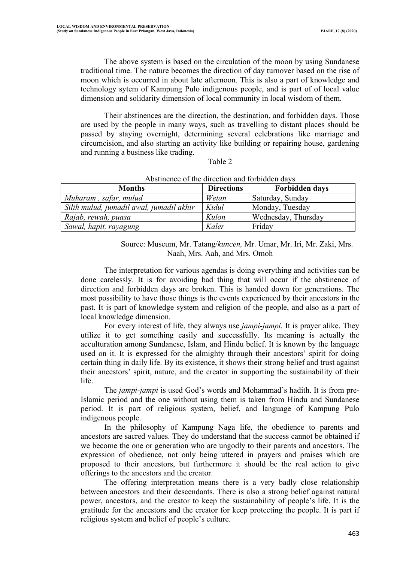The above system is based on the circulation of the moon by using Sundanese traditional time. The nature becomes the direction of day turnover based on the rise of moon which is occurred in about late afternoon. This is also a part of knowledge and technology sytem of Kampung Pulo indigenous people, and is part of of local value dimension and solidarity dimension of local community in local wisdom of them.

Their abstinences are the direction, the destination, and forbidden days. Those are used by the people in many ways, such as travelling to distant places should be passed by staying overnight, determining several celebrations like marriage and circumcision, and also starting an activity like building or repairing house, gardening and running a business like trading.

#### Table 2

| $\Lambda$ ostmence of the uncentral and forbidden davs |                   |                       |  |
|--------------------------------------------------------|-------------------|-----------------------|--|
| <b>Months</b>                                          | <b>Directions</b> | <b>Forbidden days</b> |  |
| Muharam, safar, mulud                                  | Wetan             | Saturday, Sunday      |  |
| Silih mulud, jumadil awal, jumadil akhir               | Kidul             | Monday, Tuesday       |  |
| Rajab, rewah, puasa                                    | Kulon             | Wednesday, Thursday   |  |
| Sawal, hapit, rayagung                                 | Kaler             | Friday                |  |

## Abstinence of the direction and forbidden days

 Source: Museum, Mr. Tatang/*kuncen,* Mr. Umar, Mr. Iri, Mr. Zaki, Mrs. Naah, Mrs. Aah, and Mrs. Omoh

The interpretation for various agendas is doing everything and activities can be done carelessly. It is for avoiding bad thing that will occur if the abstinence of direction and forbidden days are broken. This is handed down for generations. The most possibility to have those things is the events experienced by their ancestors in the past. It is part of knowledge system and religion of the people, and also as a part of local knowledge dimension.

For every interest of life, they always use *jampi-jampi.* It is prayer alike. They utilize it to get something easily and successfully. Its meaning is actually the acculturation among Sundanese, Islam, and Hindu belief. It is known by the language used on it. It is expressed for the almighty through their ancestors' spirit for doing certain thing in daily life. By its existence, it shows their strong belief and trust against their ancestors' spirit, nature, and the creator in supporting the sustainability of their life.

The *jampi-jampi* is used God's words and Mohammad's hadith. It is from pre-Islamic period and the one without using them is taken from Hindu and Sundanese period. It is part of religious system, belief, and language of Kampung Pulo indigenous people.

In the philosophy of Kampung Naga life, the obedience to parents and ancestors are sacred values. They do understand that the success cannot be obtained if we become the one or generation who are ungodly to their parents and ancestors. The expression of obedience, not only being uttered in prayers and praises which are proposed to their ancestors, but furthermore it should be the real action to give offerings to the ancestors and the creator.

The offering interpretation means there is a very badly close relationship between ancestors and their descendants. There is also a strong belief against natural power, ancestors, and the creator to keep the sustainability of people's life. It is the gratitude for the ancestors and the creator for keep protecting the people. It is part if religious system and belief of people's culture.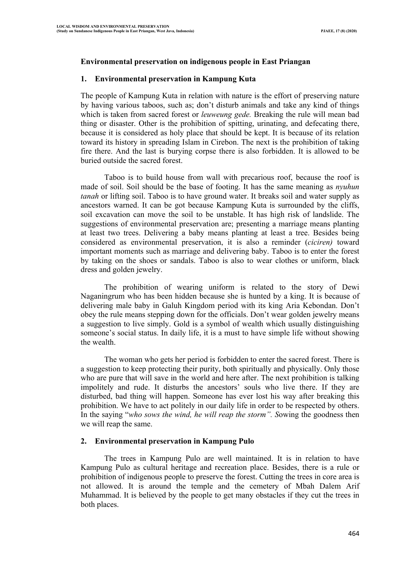# **Environmental preservation on indigenous people in East Priangan**

# **1. Environmental preservation in Kampung Kuta**

The people of Kampung Kuta in relation with nature is the effort of preserving nature by having various taboos, such as; don't disturb animals and take any kind of things which is taken from sacred forest or *leuweung gede.* Breaking the rule will mean bad thing or disaster. Other is the prohibition of spitting, urinating, and defecating there, because it is considered as holy place that should be kept. It is because of its relation toward its history in spreading Islam in Cirebon. The next is the prohibition of taking fire there. And the last is burying corpse there is also forbidden. It is allowed to be buried outside the sacred forest.

Taboo is to build house from wall with precarious roof, because the roof is made of soil. Soil should be the base of footing. It has the same meaning as *nyuhun tanah* or lifting soil. Taboo is to have ground water. It breaks soil and water supply as ancestors warned. It can be got because Kampung Kuta is surrounded by the cliffs, soil excavation can move the soil to be unstable. It has high risk of landslide. The suggestions of environmental preservation are; presenting a marriage means planting at least two trees. Delivering a baby means planting at least a tree. Besides being considered as environmental preservation, it is also a reminder (*ciciren)* toward important moments such as marriage and delivering baby. Taboo is to enter the forest by taking on the shoes or sandals. Taboo is also to wear clothes or uniform, black dress and golden jewelry.

The prohibition of wearing uniform is related to the story of Dewi Naganingrum who has been hidden because she is hunted by a king. It is because of delivering male baby in Galuh Kingdom period with its king Aria Kebondan. Don't obey the rule means stepping down for the officials. Don't wear golden jewelry means a suggestion to live simply. Gold is a symbol of wealth which usually distinguishing someone's social status. In daily life, it is a must to have simple life without showing the wealth.

The woman who gets her period is forbidden to enter the sacred forest. There is a suggestion to keep protecting their purity, both spiritually and physically. Only those who are pure that will save in the world and here after. The next prohibition is talking impolitely and rude. It disturbs the ancestors' souls who live there. If they are disturbed, bad thing will happen. Someone has ever lost his way after breaking this prohibition. We have to act politely in our daily life in order to be respected by others. In the saying "*who sows the wind, he will reap the storm". S*owing the goodness then we will reap the same.

## **2. Environmental preservation in Kampung Pulo**

The trees in Kampung Pulo are well maintained. It is in relation to have Kampung Pulo as cultural heritage and recreation place. Besides, there is a rule or prohibition of indigenous people to preserve the forest. Cutting the trees in core area is not allowed. It is around the temple and the cemetery of Mbah Dalem Arif Muhammad. It is believed by the people to get many obstacles if they cut the trees in both places.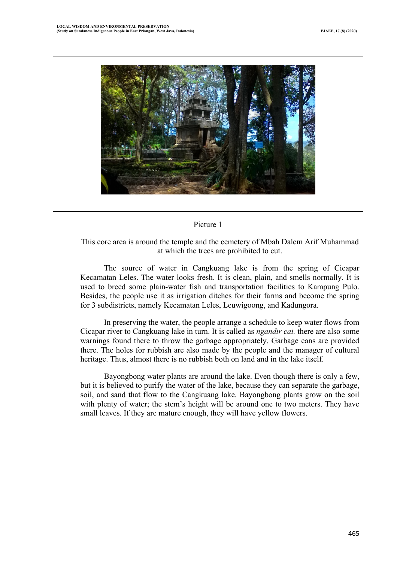

## Picture 1

## This core area is around the temple and the cemetery of Mbah Dalem Arif Muhammad at which the trees are prohibited to cut.

The source of water in Cangkuang lake is from the spring of Cicapar Kecamatan Leles. The water looks fresh. It is clean, plain, and smells normally. It is used to breed some plain-water fish and transportation facilities to Kampung Pulo. Besides, the people use it as irrigation ditches for their farms and become the spring for 3 subdistricts, namely Kecamatan Leles, Leuwigoong, and Kadungora.

In preserving the water, the people arrange a schedule to keep water flows from Cicapar river to Cangkuang lake in turn. It is called as *ngandir cai.* there are also some warnings found there to throw the garbage appropriately. Garbage cans are provided there. The holes for rubbish are also made by the people and the manager of cultural heritage. Thus, almost there is no rubbish both on land and in the lake itself.

Bayongbong water plants are around the lake. Even though there is only a few, but it is believed to purify the water of the lake, because they can separate the garbage, soil, and sand that flow to the Cangkuang lake. Bayongbong plants grow on the soil with plenty of water; the stem's height will be around one to two meters. They have small leaves. If they are mature enough, they will have yellow flowers.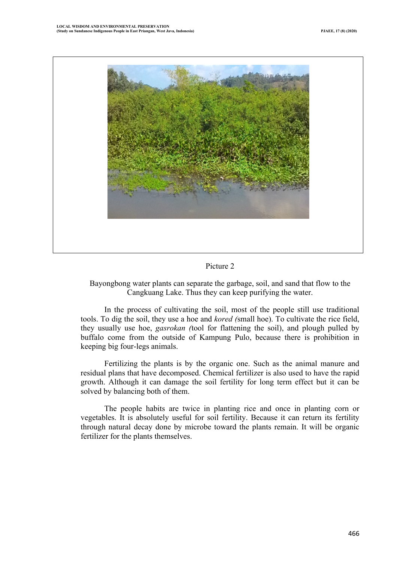

## Picture 2

# Bayongbong water plants can separate the garbage, soil, and sand that flow to the Cangkuang Lake. Thus they can keep purifying the water.

In the process of cultivating the soil, most of the people still use traditional tools. To dig the soil, they use a hoe and *kored (*small hoe). To cultivate the rice field, they usually use hoe, *gasrokan (*tool for flattening the soil), and plough pulled by buffalo come from the outside of Kampung Pulo, because there is prohibition in keeping big four-legs animals.

Fertilizing the plants is by the organic one. Such as the animal manure and residual plans that have decomposed. Chemical fertilizer is also used to have the rapid growth. Although it can damage the soil fertility for long term effect but it can be solved by balancing both of them.

The people habits are twice in planting rice and once in planting corn or vegetables. It is absolutely useful for soil fertility. Because it can return its fertility through natural decay done by microbe toward the plants remain. It will be organic fertilizer for the plants themselves.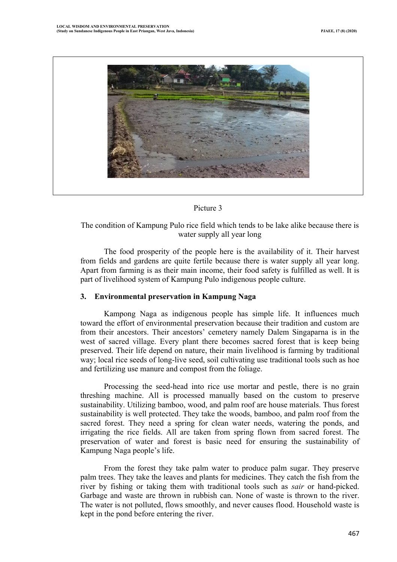

## Picture 3

The condition of Kampung Pulo rice field which tends to be lake alike because there is water supply all year long

The food prosperity of the people here is the availability of it. Their harvest from fields and gardens are quite fertile because there is water supply all year long. Apart from farming is as their main income, their food safety is fulfilled as well. It is part of livelihood system of Kampung Pulo indigenous people culture.

## **3. Environmental preservation in Kampung Naga**

Kampong Naga as indigenous people has simple life. It influences much toward the effort of environmental preservation because their tradition and custom are from their ancestors. Their ancestors' cemetery namely Dalem Singaparna is in the west of sacred village. Every plant there becomes sacred forest that is keep being preserved. Their life depend on nature, their main livelihood is farming by traditional way; local rice seeds of long-live seed, soil cultivating use traditional tools such as hoe and fertilizing use manure and compost from the foliage.

Processing the seed-head into rice use mortar and pestle, there is no grain threshing machine. All is processed manually based on the custom to preserve sustainability. Utilizing bamboo, wood, and palm roof are house materials. Thus forest sustainability is well protected. They take the woods, bamboo, and palm roof from the sacred forest. They need a spring for clean water needs, watering the ponds, and irrigating the rice fields. All are taken from spring flown from sacred forest. The preservation of water and forest is basic need for ensuring the sustainability of Kampung Naga people's life.

From the forest they take palm water to produce palm sugar. They preserve palm trees. They take the leaves and plants for medicines. They catch the fish from the river by fishing or taking them with traditional tools such as *sair* or hand-picked. Garbage and waste are thrown in rubbish can. None of waste is thrown to the river. The water is not polluted, flows smoothly, and never causes flood. Household waste is kept in the pond before entering the river.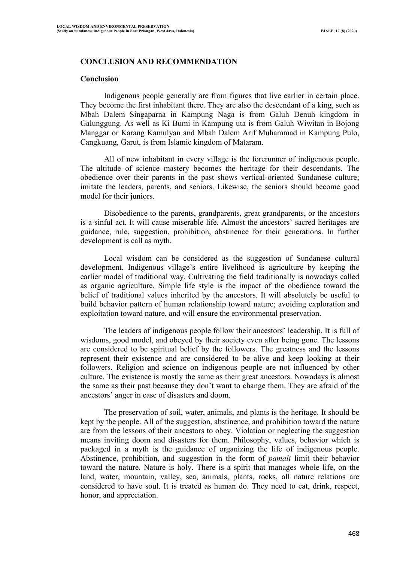## **CONCLUSION AND RECOMMENDATION**

#### **Conclusion**

Indigenous people generally are from figures that live earlier in certain place. They become the first inhabitant there. They are also the descendant of a king, such as Mbah Dalem Singaparna in Kampung Naga is from Galuh Denuh kingdom in Galunggung. As well as Ki Bumi in Kampung uta is from Galuh Wiwitan in Bojong Manggar or Karang Kamulyan and Mbah Dalem Arif Muhammad in Kampung Pulo, Cangkuang, Garut, is from Islamic kingdom of Mataram.

All of new inhabitant in every village is the forerunner of indigenous people. The altitude of science mastery becomes the heritage for their descendants. The obedience over their parents in the past shows vertical-oriented Sundanese culture; imitate the leaders, parents, and seniors. Likewise, the seniors should become good model for their juniors.

Disobedience to the parents, grandparents, great grandparents, or the ancestors is a sinful act. It will cause miserable life. Almost the ancestors' sacred heritages are guidance, rule, suggestion, prohibition, abstinence for their generations. In further development is call as myth.

Local wisdom can be considered as the suggestion of Sundanese cultural development. Indigenous village's entire livelihood is agriculture by keeping the earlier model of traditional way. Cultivating the field traditionally is nowadays called as organic agriculture. Simple life style is the impact of the obedience toward the belief of traditional values inherited by the ancestors. It will absolutely be useful to build behavior pattern of human relationship toward nature; avoiding exploration and exploitation toward nature, and will ensure the environmental preservation.

The leaders of indigenous people follow their ancestors' leadership. It is full of wisdoms, good model, and obeyed by their society even after being gone. The lessons are considered to be spiritual belief by the followers. The greatness and the lessons represent their existence and are considered to be alive and keep looking at their followers. Religion and science on indigenous people are not influenced by other culture. The existence is mostly the same as their great ancestors. Nowadays is almost the same as their past because they don't want to change them. They are afraid of the ancestors' anger in case of disasters and doom.

The preservation of soil, water, animals, and plants is the heritage. It should be kept by the people. All of the suggestion, abstinence, and prohibition toward the nature are from the lessons of their ancestors to obey. Violation or neglecting the suggestion means inviting doom and disasters for them. Philosophy, values, behavior which is packaged in a myth is the guidance of organizing the life of indigenous people. Abstinence, prohibition, and suggestion in the form of *pamali* limit their behavior toward the nature. Nature is holy. There is a spirit that manages whole life, on the land, water, mountain, valley, sea, animals, plants, rocks, all nature relations are considered to have soul. It is treated as human do. They need to eat, drink, respect, honor, and appreciation.